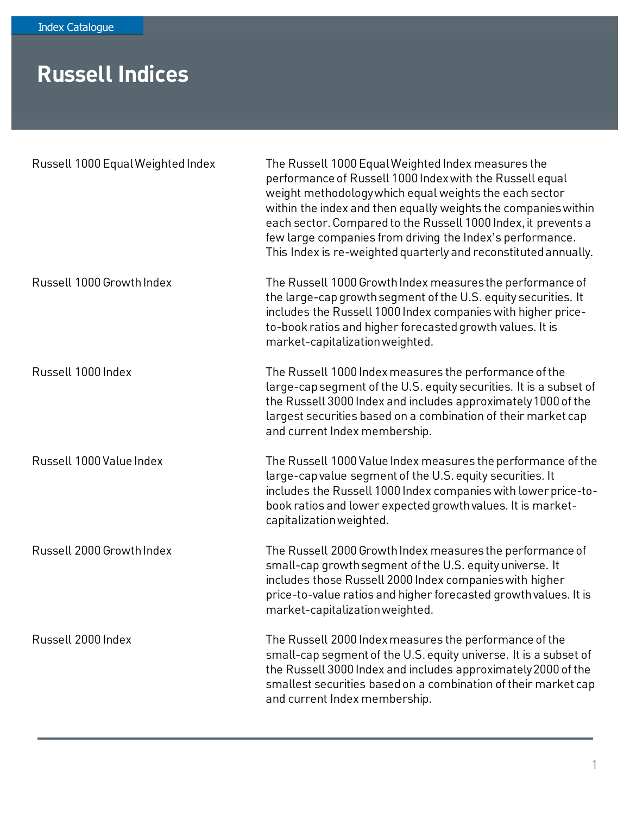## **Russell Indices**

| Russell 1000 Equal Weighted Index | The Russell 1000 Equal Weighted Index measures the<br>performance of Russell 1000 Index with the Russell equal<br>weight methodologywhich equal weights the each sector<br>within the index and then equally weights the companies within<br>each sector. Compared to the Russell 1000 Index, it prevents a<br>few large companies from driving the Index's performance.<br>This Index is re-weighted quarterly and reconstituted annually. |
|-----------------------------------|---------------------------------------------------------------------------------------------------------------------------------------------------------------------------------------------------------------------------------------------------------------------------------------------------------------------------------------------------------------------------------------------------------------------------------------------|
| Russell 1000 Growth Index         | The Russell 1000 Growth Index measures the performance of<br>the large-cap growth segment of the U.S. equity securities. It<br>includes the Russell 1000 Index companies with higher price-<br>to-book ratios and higher forecasted growth values. It is<br>market-capitalization weighted.                                                                                                                                                 |
| Russell 1000 Index                | The Russell 1000 Index measures the performance of the<br>large-cap segment of the U.S. equity securities. It is a subset of<br>the Russell 3000 Index and includes approximately 1000 of the<br>largest securities based on a combination of their market cap<br>and current Index membership.                                                                                                                                             |
| Russell 1000 Value Index          | The Russell 1000 Value Index measures the performance of the<br>large-cap value segment of the U.S. equity securities. It<br>includes the Russell 1000 Index companies with lower price-to-<br>book ratios and lower expected growth values. It is market-<br>capitalization weighted.                                                                                                                                                      |
| Russell 2000 Growth Index         | The Russell 2000 Growth Index measures the performance of<br>small-cap growth segment of the U.S. equity universe. It<br>includes those Russell 2000 Index companies with higher<br>price-to-value ratios and higher forecasted growth values. It is<br>market-capitalization weighted.                                                                                                                                                     |
| Russell 2000 Index                | The Russell 2000 Index measures the performance of the<br>small-cap segment of the U.S. equity universe. It is a subset of<br>the Russell 3000 Index and includes approximately 2000 of the<br>smallest securities based on a combination of their market cap<br>and current Index membership.                                                                                                                                              |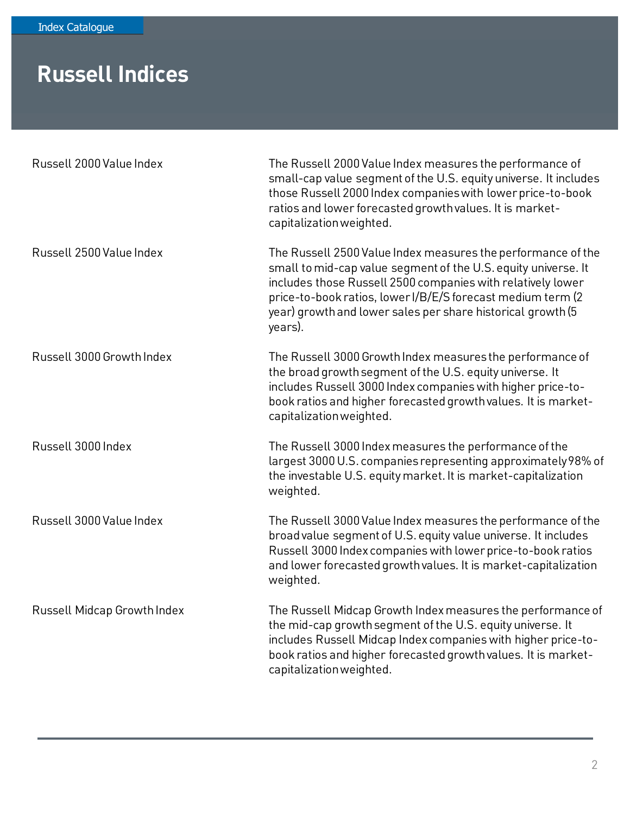## **Russell Indices**

| Russell 2000 Value Index    | The Russell 2000 Value Index measures the performance of<br>small-cap value segment of the U.S. equity universe. It includes<br>those Russell 2000 Index companies with lower price-to-book<br>ratios and lower forecasted growth values. It is market-<br>capitalization weighted.                                                    |
|-----------------------------|----------------------------------------------------------------------------------------------------------------------------------------------------------------------------------------------------------------------------------------------------------------------------------------------------------------------------------------|
| Russell 2500 Value Index    | The Russell 2500 Value Index measures the performance of the<br>small to mid-cap value segment of the U.S. equity universe. It<br>includes those Russell 2500 companies with relatively lower<br>price-to-book ratios, lower I/B/E/S forecast medium term (2<br>year) growth and lower sales per share historical growth (5<br>years). |
| Russell 3000 Growth Index   | The Russell 3000 Growth Index measures the performance of<br>the broad growth segment of the U.S. equity universe. It<br>includes Russell 3000 Index companies with higher price-to-<br>book ratios and higher forecasted growth values. It is market-<br>capitalization weighted.                                                     |
| Russell 3000 Index          | The Russell 3000 Index measures the performance of the<br>largest 3000 U.S. companies representing approximately 98% of<br>the investable U.S. equity market. It is market-capitalization<br>weighted.                                                                                                                                 |
| Russell 3000 Value Index    | The Russell 3000 Value Index measures the performance of the<br>broad value segment of U.S. equity value universe. It includes<br>Russell 3000 Index companies with lower price-to-book ratios<br>and lower forecasted growth values. It is market-capitalization<br>weighted.                                                         |
| Russell Midcap Growth Index | The Russell Midcap Growth Index measures the performance of<br>the mid-cap growth segment of the U.S. equity universe. It<br>includes Russell Midcap Index companies with higher price-to-<br>book ratios and higher forecasted growth values. It is market-<br>capitalization weighted.                                               |